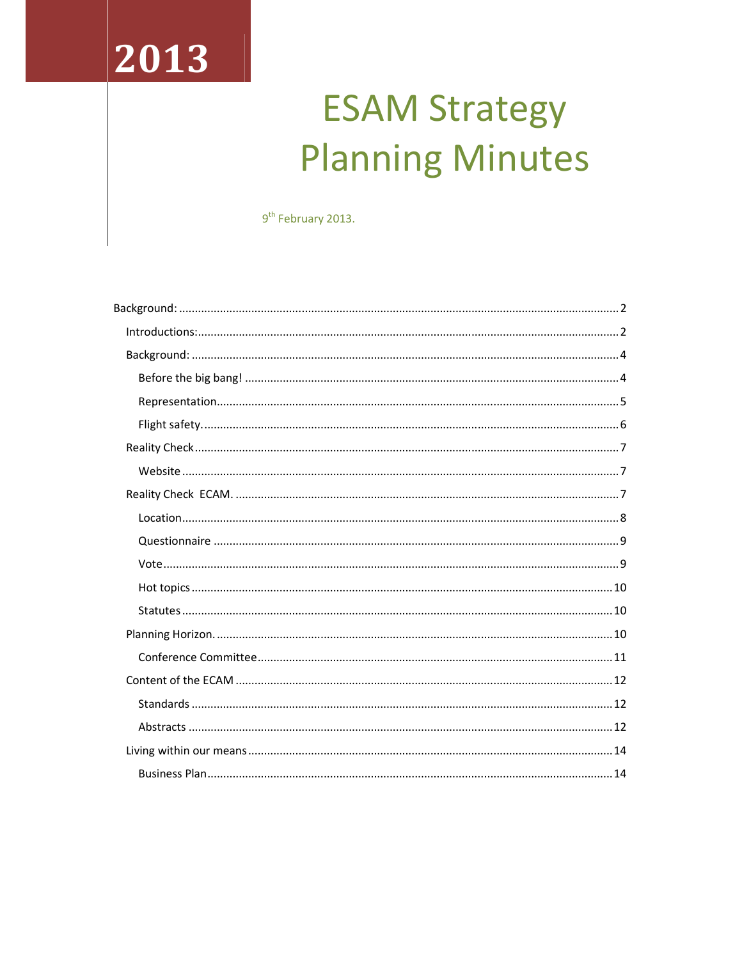# 2013

## **ESAM Strategy Planning Minutes**

9<sup>th</sup> February 2013.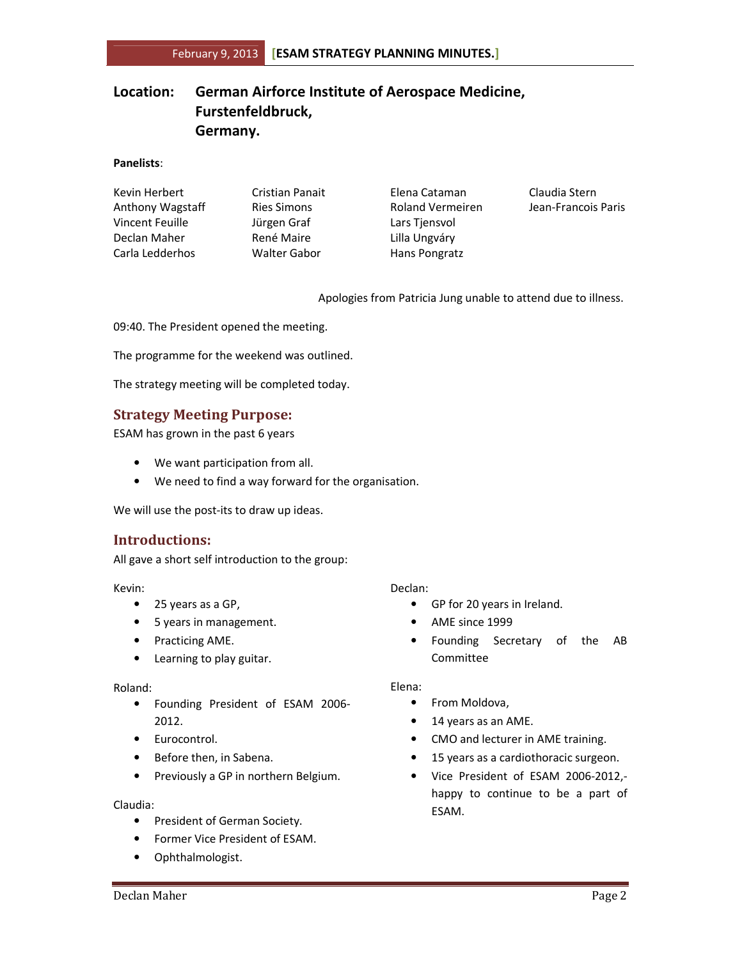## Location: German Airforce Institute of Aerospace Medicine, Furstenfeldbruck, Germany.

#### Panelists:

| Kevin Herbert    | <b>Cristian Panait</b> | Elena Cataman           | Claudia Stern       |
|------------------|------------------------|-------------------------|---------------------|
| Anthony Wagstaff | <b>Ries Simons</b>     | <b>Roland Vermeiren</b> | Jean-Francois Paris |
| Vincent Feuille  | Jürgen Graf            | Lars Tiensvol           |                     |
| Declan Maher     | René Maire             | Lilla Ungváry           |                     |
| Carla Ledderhos  | <b>Walter Gabor</b>    | Hans Pongratz           |                     |

Apologies from Patricia Jung unable to attend due to illness.

09:40. The President opened the meeting.

The programme for the weekend was outlined.

The strategy meeting will be completed today.

## Strategy Meeting Purpose:

ESAM has grown in the past 6 years

- We want participation from all.
- We need to find a way forward for the organisation.

We will use the post-its to draw up ideas.

## Introductions:

All gave a short self introduction to the group:

Kevin:

- 25 years as a GP,
- 5 years in management.
- Practicing AME.
- Learning to play guitar.

#### Roland:

- Founding President of ESAM 2006- 2012.
- Eurocontrol.
- Before then, in Sabena.
- Previously a GP in northern Belgium.

#### Claudia:

- President of German Society.
- Former Vice President of ESAM.
- Ophthalmologist.

#### Declan:

- GP for 20 years in Ireland.
- AME since 1999
- Founding Secretary of the AB Committee

#### Elena:

- From Moldova,
- 14 years as an AME.
- CMO and lecturer in AME training.
- 15 years as a cardiothoracic surgeon.
- Vice President of ESAM 2006-2012, happy to continue to be a part of ESAM.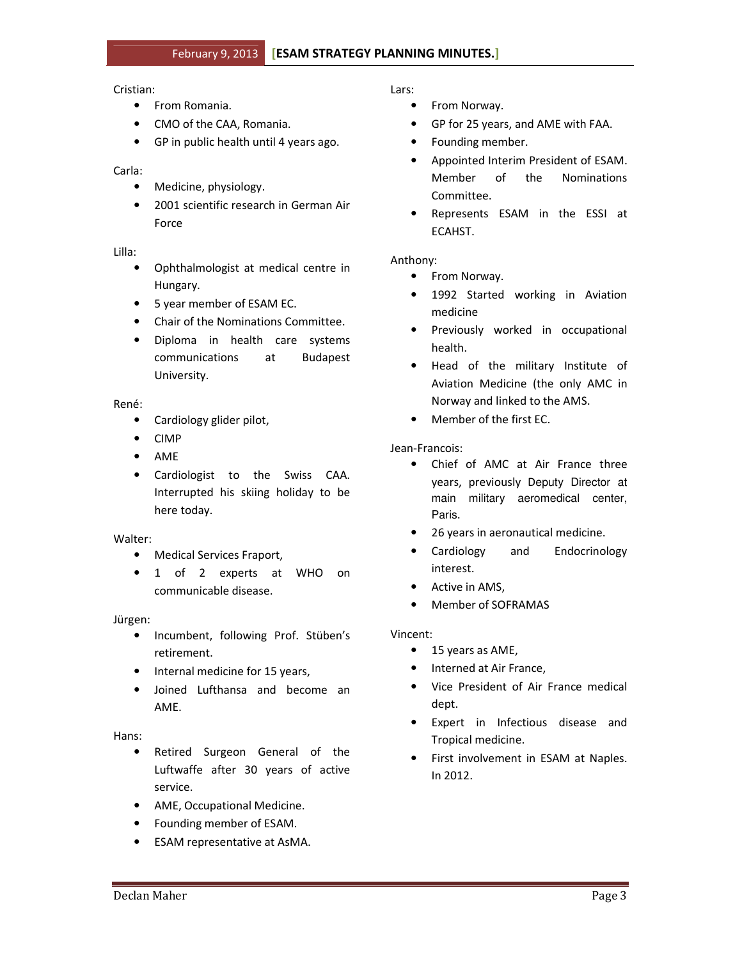#### Cristian:

- From Romania.
- CMO of the CAA, Romania.
- GP in public health until 4 years ago.

## Carla:

- Medicine, physiology.
- 2001 scientific research in German Air Force

#### Lilla:

- Ophthalmologist at medical centre in Hungary.
- 5 year member of ESAM EC.
- Chair of the Nominations Committee.
- Diploma in health care systems communications at Budapest University.

#### René:

- Cardiology glider pilot,
- CIMP
- AME
- Cardiologist to the Swiss CAA. Interrupted his skiing holiday to be here today.

## Walter:

- Medical Services Fraport,
- 1 of 2 experts at WHO on communicable disease.

## Jürgen:

- Incumbent, following Prof. Stüben's retirement.
- Internal medicine for 15 years,
- Joined Lufthansa and become an AME.

## Hans:

- Retired Surgeon General of the Luftwaffe after 30 years of active service.
- AME, Occupational Medicine.
- Founding member of ESAM.
- ESAM representative at AsMA.

## Lars:

- From Norway.
- GP for 25 years, and AME with FAA.
- Founding member.
- Appointed Interim President of ESAM. Member of the Nominations Committee.
- Represents ESAM in the ESSI at **ECAHST.**

## Anthony:

- From Norway.
- 1992 Started working in Aviation medicine
- Previously worked in occupational health.
- Head of the military Institute of Aviation Medicine (the only AMC in Norway and linked to the AMS.
- Member of the first EC.

## Jean-Francois:

- Chief of AMC at Air France three years, previously Deputy Director at main military aeromedical center, Paris.
- 26 years in aeronautical medicine.
- Cardiology and Endocrinology interest.
- Active in AMS,
- Member of SOFRAMAS

## Vincent:

- 15 years as AME,
- Interned at Air France,
- Vice President of Air France medical dept.
- Expert in Infectious disease and Tropical medicine.
- First involvement in ESAM at Naples. In 2012.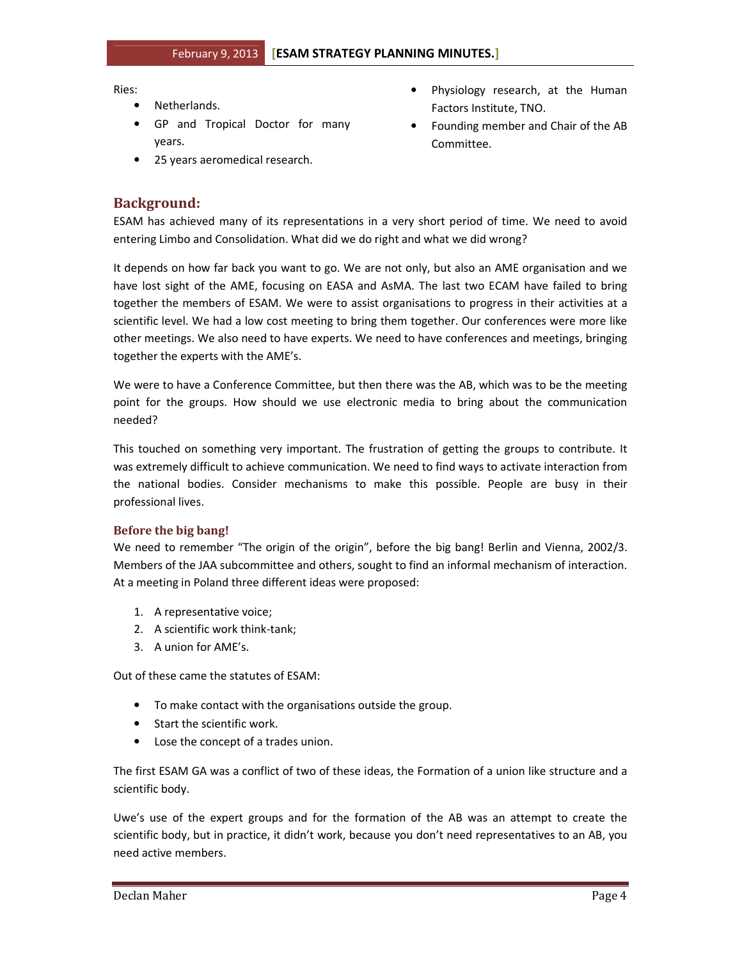Ries:

- Netherlands.
- GP and Tropical Doctor for many years.
- 25 years aeromedical research.
- Physiology research, at the Human Factors Institute, TNO.
- Founding member and Chair of the AB Committee.

## Background:

ESAM has achieved many of its representations in a very short period of time. We need to avoid entering Limbo and Consolidation. What did we do right and what we did wrong?

It depends on how far back you want to go. We are not only, but also an AME organisation and we have lost sight of the AME, focusing on EASA and AsMA. The last two ECAM have failed to bring together the members of ESAM. We were to assist organisations to progress in their activities at a scientific level. We had a low cost meeting to bring them together. Our conferences were more like other meetings. We also need to have experts. We need to have conferences and meetings, bringing together the experts with the AME's.

We were to have a Conference Committee, but then there was the AB, which was to be the meeting point for the groups. How should we use electronic media to bring about the communication needed?

This touched on something very important. The frustration of getting the groups to contribute. It was extremely difficult to achieve communication. We need to find ways to activate interaction from the national bodies. Consider mechanisms to make this possible. People are busy in their professional lives.

## Before the big bang!

We need to remember "The origin of the origin", before the big bang! Berlin and Vienna, 2002/3. Members of the JAA subcommittee and others, sought to find an informal mechanism of interaction. At a meeting in Poland three different ideas were proposed:

- 1. A representative voice;
- 2. A scientific work think-tank;
- 3. A union for AME's.

Out of these came the statutes of ESAM:

- To make contact with the organisations outside the group.
- Start the scientific work.
- Lose the concept of a trades union.

The first ESAM GA was a conflict of two of these ideas, the Formation of a union like structure and a scientific body.

Uwe's use of the expert groups and for the formation of the AB was an attempt to create the scientific body, but in practice, it didn't work, because you don't need representatives to an AB, you need active members.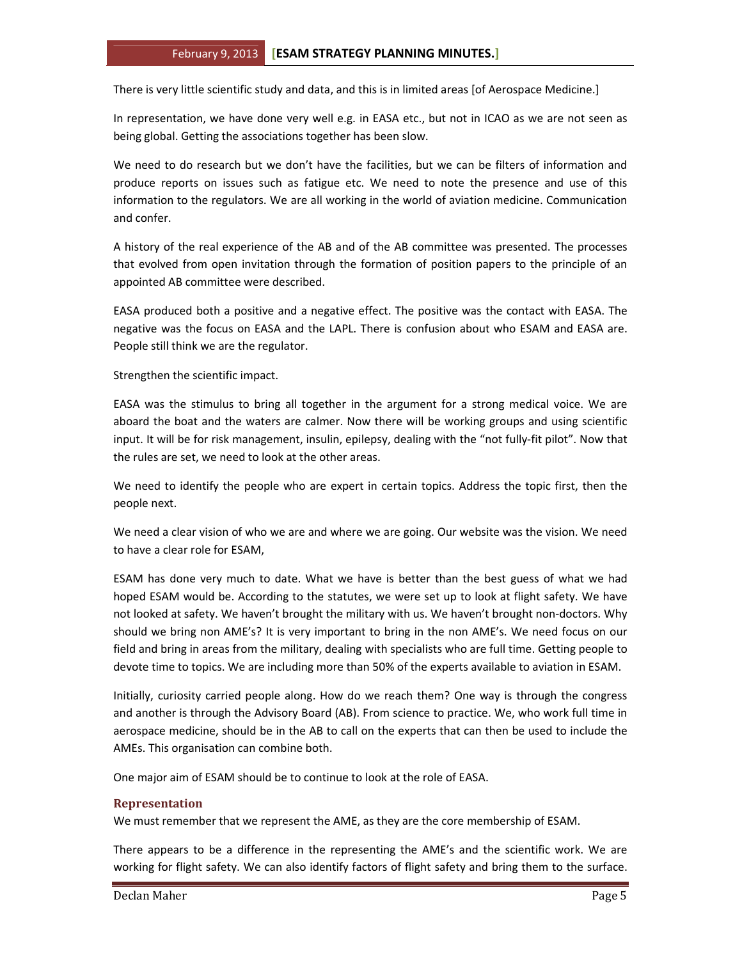There is very little scientific study and data, and this is in limited areas [of Aerospace Medicine.]

In representation, we have done very well e.g. in EASA etc., but not in ICAO as we are not seen as being global. Getting the associations together has been slow.

We need to do research but we don't have the facilities, but we can be filters of information and produce reports on issues such as fatigue etc. We need to note the presence and use of this information to the regulators. We are all working in the world of aviation medicine. Communication and confer.

A history of the real experience of the AB and of the AB committee was presented. The processes that evolved from open invitation through the formation of position papers to the principle of an appointed AB committee were described.

EASA produced both a positive and a negative effect. The positive was the contact with EASA. The negative was the focus on EASA and the LAPL. There is confusion about who ESAM and EASA are. People still think we are the regulator.

Strengthen the scientific impact.

EASA was the stimulus to bring all together in the argument for a strong medical voice. We are aboard the boat and the waters are calmer. Now there will be working groups and using scientific input. It will be for risk management, insulin, epilepsy, dealing with the "not fully-fit pilot". Now that the rules are set, we need to look at the other areas.

We need to identify the people who are expert in certain topics. Address the topic first, then the people next.

We need a clear vision of who we are and where we are going. Our website was the vision. We need to have a clear role for ESAM,

ESAM has done very much to date. What we have is better than the best guess of what we had hoped ESAM would be. According to the statutes, we were set up to look at flight safety. We have not looked at safety. We haven't brought the military with us. We haven't brought non-doctors. Why should we bring non AME's? It is very important to bring in the non AME's. We need focus on our field and bring in areas from the military, dealing with specialists who are full time. Getting people to devote time to topics. We are including more than 50% of the experts available to aviation in ESAM.

Initially, curiosity carried people along. How do we reach them? One way is through the congress and another is through the Advisory Board (AB). From science to practice. We, who work full time in aerospace medicine, should be in the AB to call on the experts that can then be used to include the AMEs. This organisation can combine both.

One major aim of ESAM should be to continue to look at the role of EASA.

## Representation

We must remember that we represent the AME, as they are the core membership of ESAM.

There appears to be a difference in the representing the AME's and the scientific work. We are working for flight safety. We can also identify factors of flight safety and bring them to the surface.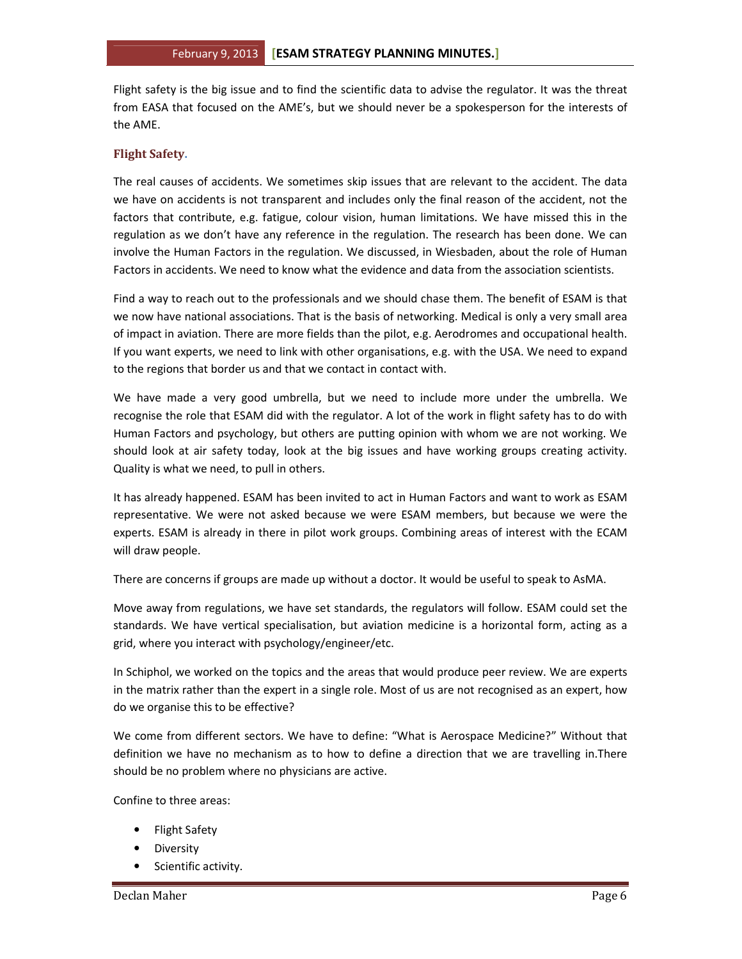Flight safety is the big issue and to find the scientific data to advise the regulator. It was the threat from EASA that focused on the AME's, but we should never be a spokesperson for the interests of the AME.

## Flight Safety.

The real causes of accidents. We sometimes skip issues that are relevant to the accident. The data we have on accidents is not transparent and includes only the final reason of the accident, not the factors that contribute, e.g. fatigue, colour vision, human limitations. We have missed this in the regulation as we don't have any reference in the regulation. The research has been done. We can involve the Human Factors in the regulation. We discussed, in Wiesbaden, about the role of Human Factors in accidents. We need to know what the evidence and data from the association scientists.

Find a way to reach out to the professionals and we should chase them. The benefit of ESAM is that we now have national associations. That is the basis of networking. Medical is only a very small area of impact in aviation. There are more fields than the pilot, e.g. Aerodromes and occupational health. If you want experts, we need to link with other organisations, e.g. with the USA. We need to expand to the regions that border us and that we contact in contact with.

We have made a very good umbrella, but we need to include more under the umbrella. We recognise the role that ESAM did with the regulator. A lot of the work in flight safety has to do with Human Factors and psychology, but others are putting opinion with whom we are not working. We should look at air safety today, look at the big issues and have working groups creating activity. Quality is what we need, to pull in others.

It has already happened. ESAM has been invited to act in Human Factors and want to work as ESAM representative. We were not asked because we were ESAM members, but because we were the experts. ESAM is already in there in pilot work groups. Combining areas of interest with the ECAM will draw people.

There are concerns if groups are made up without a doctor. It would be useful to speak to AsMA.

Move away from regulations, we have set standards, the regulators will follow. ESAM could set the standards. We have vertical specialisation, but aviation medicine is a horizontal form, acting as a grid, where you interact with psychology/engineer/etc.

In Schiphol, we worked on the topics and the areas that would produce peer review. We are experts in the matrix rather than the expert in a single role. Most of us are not recognised as an expert, how do we organise this to be effective?

We come from different sectors. We have to define: "What is Aerospace Medicine?" Without that definition we have no mechanism as to how to define a direction that we are travelling in.There should be no problem where no physicians are active.

Confine to three areas:

- Flight Safety
- Diversity
- Scientific activity.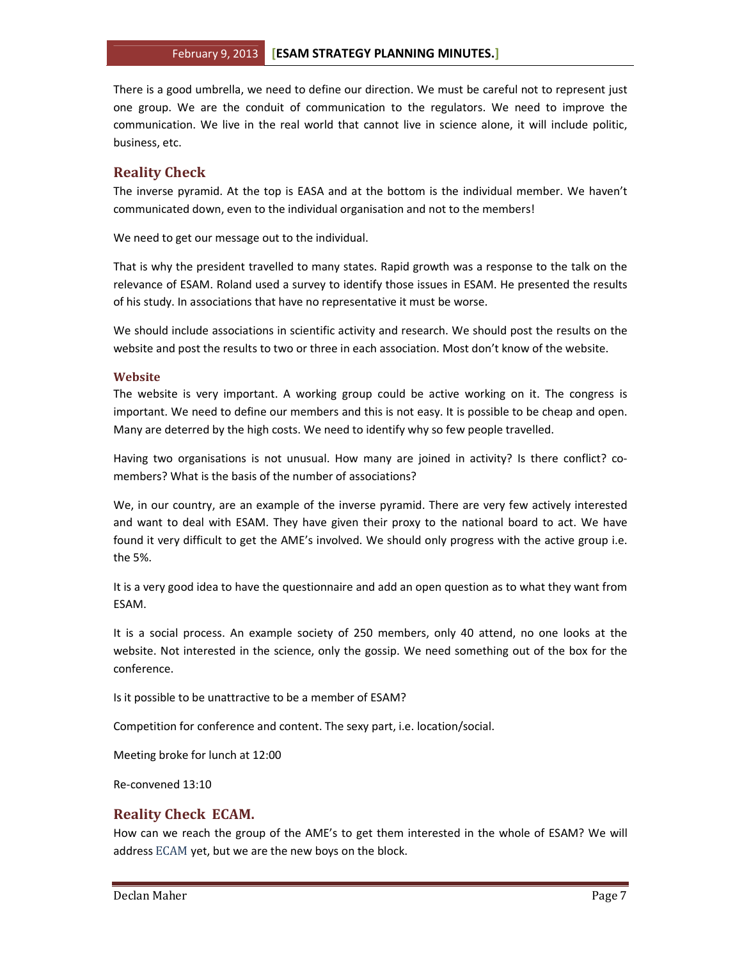There is a good umbrella, we need to define our direction. We must be careful not to represent just one group. We are the conduit of communication to the regulators. We need to improve the communication. We live in the real world that cannot live in science alone, it will include politic, business, etc.

## Reality Check

The inverse pyramid. At the top is EASA and at the bottom is the individual member. We haven't communicated down, even to the individual organisation and not to the members!

We need to get our message out to the individual.

That is why the president travelled to many states. Rapid growth was a response to the talk on the relevance of ESAM. Roland used a survey to identify those issues in ESAM. He presented the results of his study. In associations that have no representative it must be worse.

We should include associations in scientific activity and research. We should post the results on the website and post the results to two or three in each association. Most don't know of the website.

## Website

The website is very important. A working group could be active working on it. The congress is important. We need to define our members and this is not easy. It is possible to be cheap and open. Many are deterred by the high costs. We need to identify why so few people travelled.

Having two organisations is not unusual. How many are joined in activity? Is there conflict? comembers? What is the basis of the number of associations?

We, in our country, are an example of the inverse pyramid. There are very few actively interested and want to deal with ESAM. They have given their proxy to the national board to act. We have found it very difficult to get the AME's involved. We should only progress with the active group i.e. the 5%.

It is a very good idea to have the questionnaire and add an open question as to what they want from ESAM.

It is a social process. An example society of 250 members, only 40 attend, no one looks at the website. Not interested in the science, only the gossip. We need something out of the box for the conference.

Is it possible to be unattractive to be a member of ESAM?

Competition for conference and content. The sexy part, i.e. location/social.

Meeting broke for lunch at 12:00

Re-convened 13:10

## Reality Check ECAM.

How can we reach the group of the AME's to get them interested in the whole of ESAM? We will address ECAM yet, but we are the new boys on the block.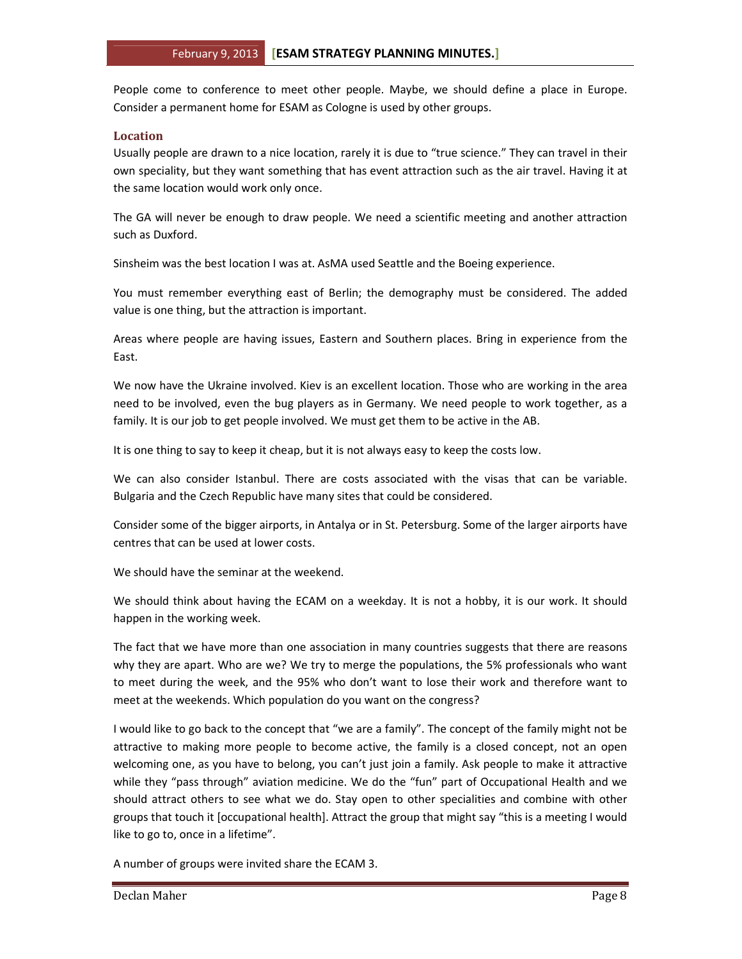People come to conference to meet other people. Maybe, we should define a place in Europe. Consider a permanent home for ESAM as Cologne is used by other groups.

## Location

Usually people are drawn to a nice location, rarely it is due to "true science." They can travel in their own speciality, but they want something that has event attraction such as the air travel. Having it at the same location would work only once.

The GA will never be enough to draw people. We need a scientific meeting and another attraction such as Duxford.

Sinsheim was the best location I was at. AsMA used Seattle and the Boeing experience.

You must remember everything east of Berlin; the demography must be considered. The added value is one thing, but the attraction is important.

Areas where people are having issues, Eastern and Southern places. Bring in experience from the East.

We now have the Ukraine involved. Kiev is an excellent location. Those who are working in the area need to be involved, even the bug players as in Germany. We need people to work together, as a family. It is our job to get people involved. We must get them to be active in the AB.

It is one thing to say to keep it cheap, but it is not always easy to keep the costs low.

We can also consider Istanbul. There are costs associated with the visas that can be variable. Bulgaria and the Czech Republic have many sites that could be considered.

Consider some of the bigger airports, in Antalya or in St. Petersburg. Some of the larger airports have centres that can be used at lower costs.

We should have the seminar at the weekend.

We should think about having the ECAM on a weekday. It is not a hobby, it is our work. It should happen in the working week.

The fact that we have more than one association in many countries suggests that there are reasons why they are apart. Who are we? We try to merge the populations, the 5% professionals who want to meet during the week, and the 95% who don't want to lose their work and therefore want to meet at the weekends. Which population do you want on the congress?

I would like to go back to the concept that "we are a family". The concept of the family might not be attractive to making more people to become active, the family is a closed concept, not an open welcoming one, as you have to belong, you can't just join a family. Ask people to make it attractive while they "pass through" aviation medicine. We do the "fun" part of Occupational Health and we should attract others to see what we do. Stay open to other specialities and combine with other groups that touch it [occupational health]. Attract the group that might say "this is a meeting I would like to go to, once in a lifetime".

A number of groups were invited share the ECAM 3.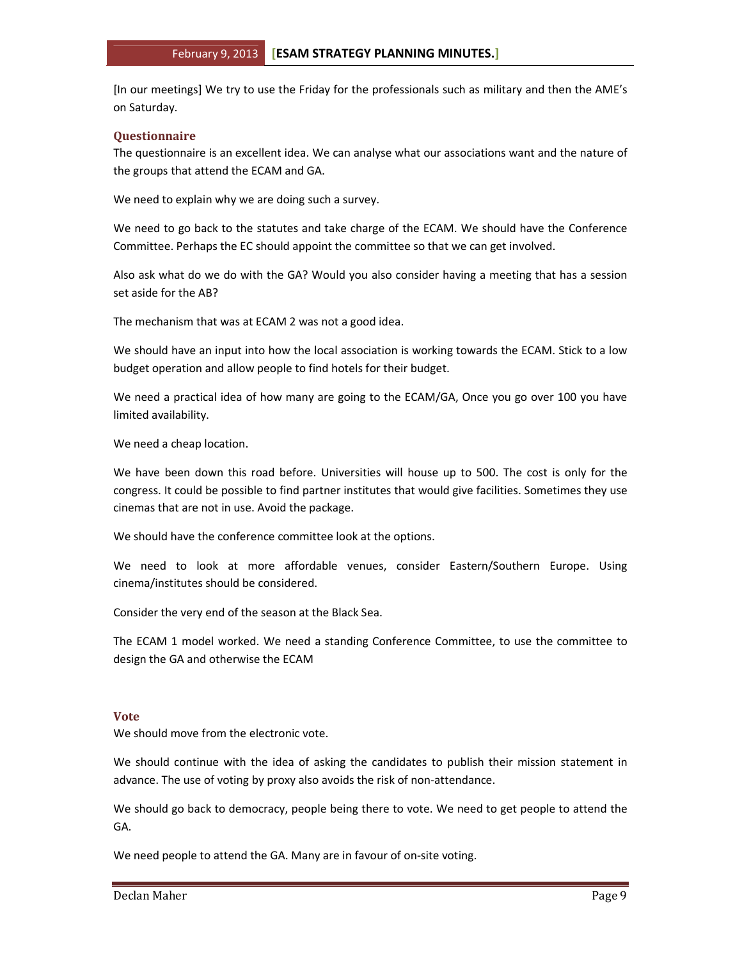[In our meetings] We try to use the Friday for the professionals such as military and then the AME's on Saturday.

#### **Questionnaire**

The questionnaire is an excellent idea. We can analyse what our associations want and the nature of the groups that attend the ECAM and GA.

We need to explain why we are doing such a survey.

We need to go back to the statutes and take charge of the ECAM. We should have the Conference Committee. Perhaps the EC should appoint the committee so that we can get involved.

Also ask what do we do with the GA? Would you also consider having a meeting that has a session set aside for the AB?

The mechanism that was at ECAM 2 was not a good idea.

We should have an input into how the local association is working towards the ECAM. Stick to a low budget operation and allow people to find hotels for their budget.

We need a practical idea of how many are going to the ECAM/GA, Once you go over 100 you have limited availability.

We need a cheap location.

We have been down this road before. Universities will house up to 500. The cost is only for the congress. It could be possible to find partner institutes that would give facilities. Sometimes they use cinemas that are not in use. Avoid the package.

We should have the conference committee look at the options.

We need to look at more affordable venues, consider Eastern/Southern Europe. Using cinema/institutes should be considered.

Consider the very end of the season at the Black Sea.

The ECAM 1 model worked. We need a standing Conference Committee, to use the committee to design the GA and otherwise the ECAM

## Vote

We should move from the electronic vote.

We should continue with the idea of asking the candidates to publish their mission statement in advance. The use of voting by proxy also avoids the risk of non-attendance.

We should go back to democracy, people being there to vote. We need to get people to attend the GA.

We need people to attend the GA. Many are in favour of on-site voting.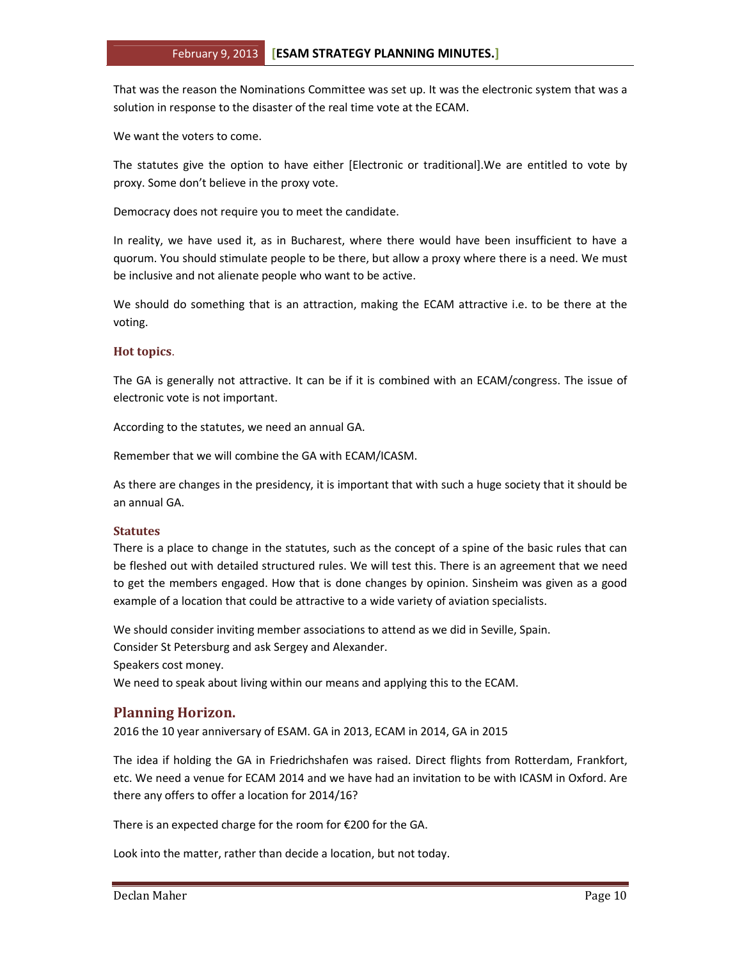That was the reason the Nominations Committee was set up. It was the electronic system that was a solution in response to the disaster of the real time vote at the ECAM.

We want the voters to come.

The statutes give the option to have either [Electronic or traditional].We are entitled to vote by proxy. Some don't believe in the proxy vote.

Democracy does not require you to meet the candidate.

In reality, we have used it, as in Bucharest, where there would have been insufficient to have a quorum. You should stimulate people to be there, but allow a proxy where there is a need. We must be inclusive and not alienate people who want to be active.

We should do something that is an attraction, making the ECAM attractive i.e. to be there at the voting.

#### Hot topics.

The GA is generally not attractive. It can be if it is combined with an ECAM/congress. The issue of electronic vote is not important.

According to the statutes, we need an annual GA.

Remember that we will combine the GA with ECAM/ICASM.

As there are changes in the presidency, it is important that with such a huge society that it should be an annual GA.

#### **Statutes**

There is a place to change in the statutes, such as the concept of a spine of the basic rules that can be fleshed out with detailed structured rules. We will test this. There is an agreement that we need to get the members engaged. How that is done changes by opinion. Sinsheim was given as a good example of a location that could be attractive to a wide variety of aviation specialists.

We should consider inviting member associations to attend as we did in Seville, Spain. Consider St Petersburg and ask Sergey and Alexander. Speakers cost money. We need to speak about living within our means and applying this to the ECAM.

## Planning Horizon.

2016 the 10 year anniversary of ESAM. GA in 2013, ECAM in 2014, GA in 2015

The idea if holding the GA in Friedrichshafen was raised. Direct flights from Rotterdam, Frankfort, etc. We need a venue for ECAM 2014 and we have had an invitation to be with ICASM in Oxford. Are there any offers to offer a location for 2014/16?

There is an expected charge for the room for €200 for the GA.

Look into the matter, rather than decide a location, but not today.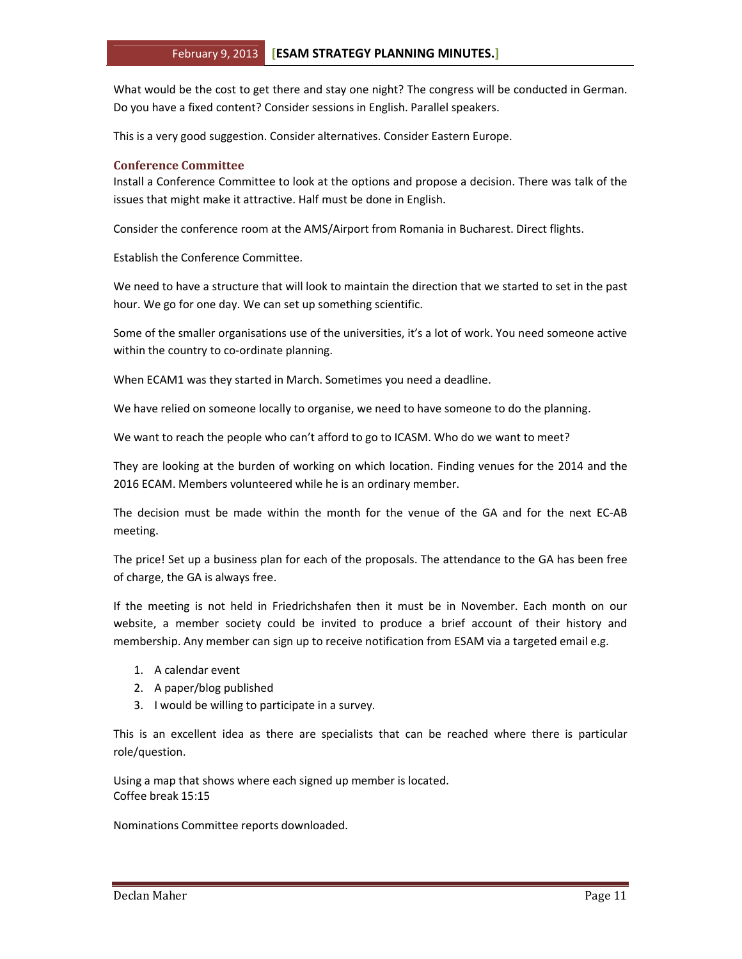What would be the cost to get there and stay one night? The congress will be conducted in German. Do you have a fixed content? Consider sessions in English. Parallel speakers.

This is a very good suggestion. Consider alternatives. Consider Eastern Europe.

## Conference Committee

Install a Conference Committee to look at the options and propose a decision. There was talk of the issues that might make it attractive. Half must be done in English.

Consider the conference room at the AMS/Airport from Romania in Bucharest. Direct flights.

Establish the Conference Committee.

We need to have a structure that will look to maintain the direction that we started to set in the past hour. We go for one day. We can set up something scientific.

Some of the smaller organisations use of the universities, it's a lot of work. You need someone active within the country to co-ordinate planning.

When ECAM1 was they started in March. Sometimes you need a deadline.

We have relied on someone locally to organise, we need to have someone to do the planning.

We want to reach the people who can't afford to go to ICASM. Who do we want to meet?

They are looking at the burden of working on which location. Finding venues for the 2014 and the 2016 ECAM. Members volunteered while he is an ordinary member.

The decision must be made within the month for the venue of the GA and for the next EC-AB meeting.

The price! Set up a business plan for each of the proposals. The attendance to the GA has been free of charge, the GA is always free.

If the meeting is not held in Friedrichshafen then it must be in November. Each month on our website, a member society could be invited to produce a brief account of their history and membership. Any member can sign up to receive notification from ESAM via a targeted email e.g.

- 1. A calendar event
- 2. A paper/blog published
- 3. I would be willing to participate in a survey.

This is an excellent idea as there are specialists that can be reached where there is particular role/question.

Using a map that shows where each signed up member is located. Coffee break 15:15

Nominations Committee reports downloaded.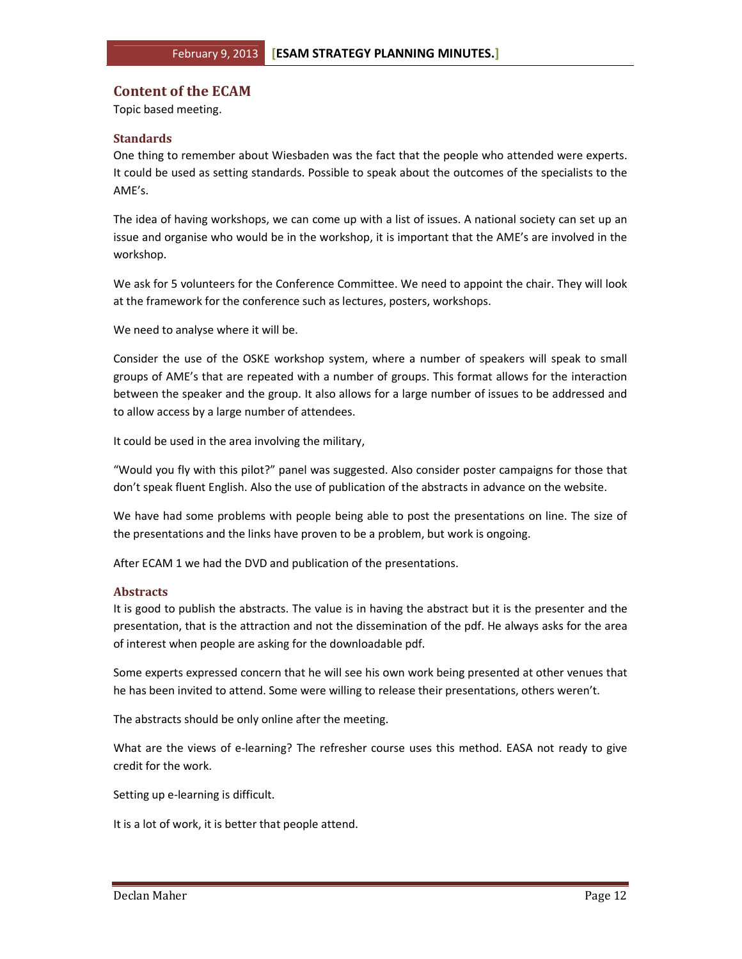## Content of the ECAM

Topic based meeting.

## **Standards**

One thing to remember about Wiesbaden was the fact that the people who attended were experts. It could be used as setting standards. Possible to speak about the outcomes of the specialists to the AME's.

The idea of having workshops, we can come up with a list of issues. A national society can set up an issue and organise who would be in the workshop, it is important that the AME's are involved in the workshop.

We ask for 5 volunteers for the Conference Committee. We need to appoint the chair. They will look at the framework for the conference such as lectures, posters, workshops.

We need to analyse where it will be.

Consider the use of the OSKE workshop system, where a number of speakers will speak to small groups of AME's that are repeated with a number of groups. This format allows for the interaction between the speaker and the group. It also allows for a large number of issues to be addressed and to allow access by a large number of attendees.

It could be used in the area involving the military,

"Would you fly with this pilot?" panel was suggested. Also consider poster campaigns for those that don't speak fluent English. Also the use of publication of the abstracts in advance on the website.

We have had some problems with people being able to post the presentations on line. The size of the presentations and the links have proven to be a problem, but work is ongoing.

After ECAM 1 we had the DVD and publication of the presentations.

## Abstracts

It is good to publish the abstracts. The value is in having the abstract but it is the presenter and the presentation, that is the attraction and not the dissemination of the pdf. He always asks for the area of interest when people are asking for the downloadable pdf.

Some experts expressed concern that he will see his own work being presented at other venues that he has been invited to attend. Some were willing to release their presentations, others weren't.

The abstracts should be only online after the meeting.

What are the views of e-learning? The refresher course uses this method. EASA not ready to give credit for the work.

Setting up e-learning is difficult.

It is a lot of work, it is better that people attend.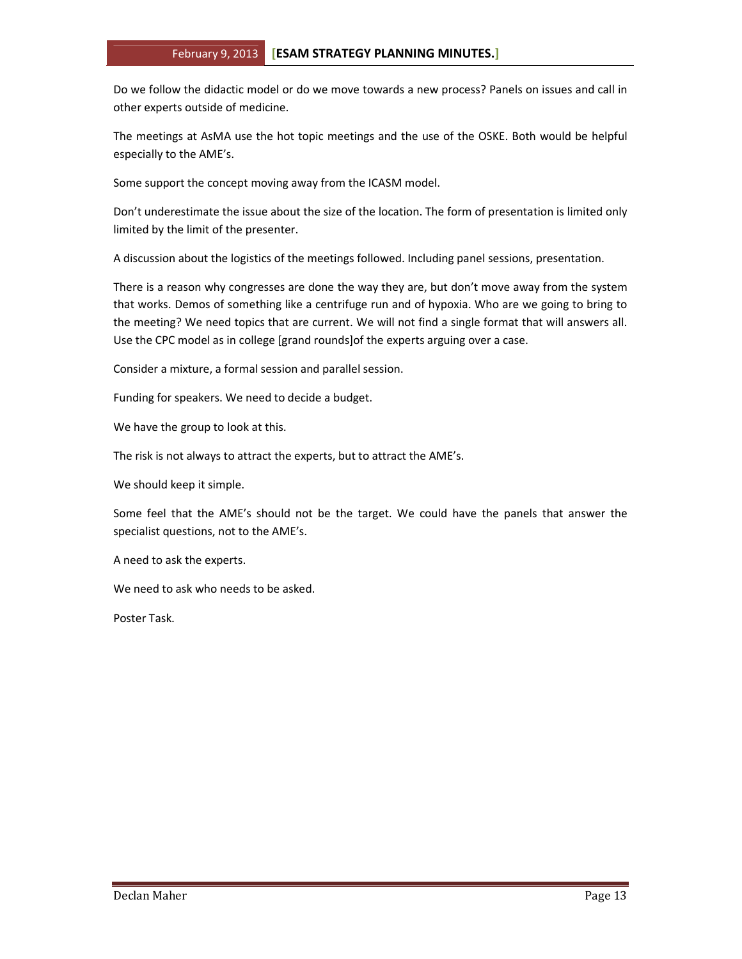Do we follow the didactic model or do we move towards a new process? Panels on issues and call in other experts outside of medicine.

The meetings at AsMA use the hot topic meetings and the use of the OSKE. Both would be helpful especially to the AME's.

Some support the concept moving away from the ICASM model.

Don't underestimate the issue about the size of the location. The form of presentation is limited only limited by the limit of the presenter.

A discussion about the logistics of the meetings followed. Including panel sessions, presentation.

There is a reason why congresses are done the way they are, but don't move away from the system that works. Demos of something like a centrifuge run and of hypoxia. Who are we going to bring to the meeting? We need topics that are current. We will not find a single format that will answers all. Use the CPC model as in college [grand rounds]of the experts arguing over a case.

Consider a mixture, a formal session and parallel session.

Funding for speakers. We need to decide a budget.

We have the group to look at this.

The risk is not always to attract the experts, but to attract the AME's.

We should keep it simple.

Some feel that the AME's should not be the target. We could have the panels that answer the specialist questions, not to the AME's.

A need to ask the experts.

We need to ask who needs to be asked.

Poster Task.